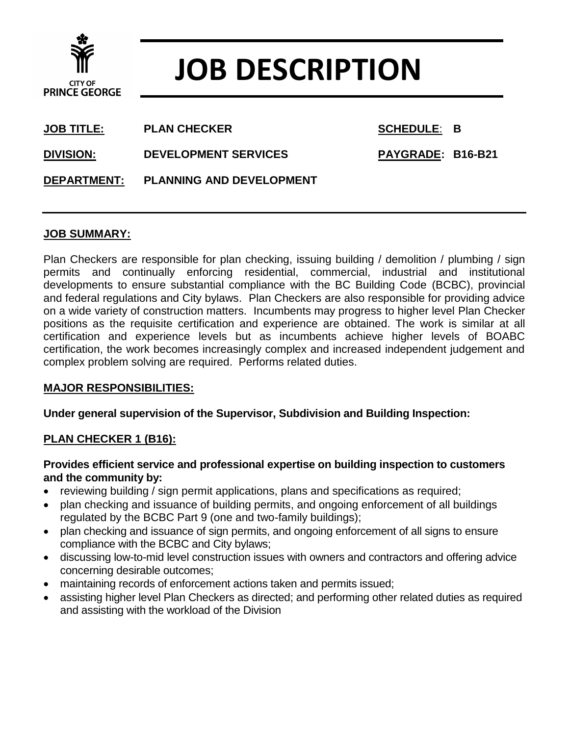

# **JOB DESCRIPTION**

| <b>JOB TITLE:</b>  | <b>PLAN CHECKER</b>             | <b>SCHEDULE: B</b> |  |
|--------------------|---------------------------------|--------------------|--|
| DIVISION:          | <b>DEVELOPMENT SERVICES</b>     | PAYGRADE: B16-B21  |  |
| <b>DEPARTMENT:</b> | <b>PLANNING AND DEVELOPMENT</b> |                    |  |

# **JOB SUMMARY:**

Plan Checkers are responsible for plan checking, issuing building / demolition / plumbing / sign permits and continually enforcing residential, commercial, industrial and institutional developments to ensure substantial compliance with the BC Building Code (BCBC), provincial and federal regulations and City bylaws. Plan Checkers are also responsible for providing advice on a wide variety of construction matters. Incumbents may progress to higher level Plan Checker positions as the requisite certification and experience are obtained. The work is similar at all certification and experience levels but as incumbents achieve higher levels of BOABC certification, the work becomes increasingly complex and increased independent judgement and complex problem solving are required. Performs related duties.

#### **MAJOR RESPONSIBILITIES:**

#### **Under general supervision of the Supervisor, Subdivision and Building Inspection:**

#### **PLAN CHECKER 1 (B16):**

#### **Provides efficient service and professional expertise on building inspection to customers and the community by:**

- reviewing building / sign permit applications, plans and specifications as required;
- plan checking and issuance of building permits, and ongoing enforcement of all buildings regulated by the BCBC Part 9 (one and two-family buildings);
- plan checking and issuance of sign permits, and ongoing enforcement of all signs to ensure compliance with the BCBC and City bylaws;
- discussing low-to-mid level construction issues with owners and contractors and offering advice concerning desirable outcomes;
- maintaining records of enforcement actions taken and permits issued;
- assisting higher level Plan Checkers as directed; and performing other related duties as required and assisting with the workload of the Division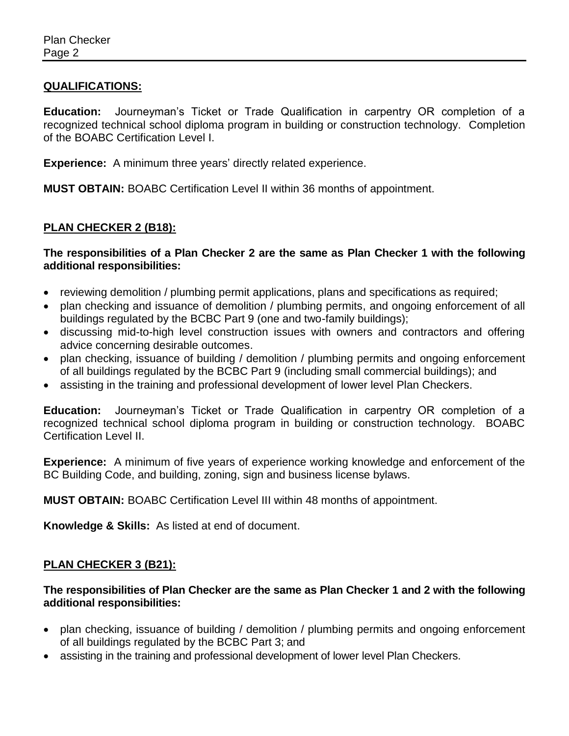# **QUALIFICATIONS:**

**Education:** Journeyman's Ticket or Trade Qualification in carpentry OR completion of a recognized technical school diploma program in building or construction technology. Completion of the BOABC Certification Level I.

**Experience:** A minimum three years' directly related experience.

**MUST OBTAIN:** BOABC Certification Level II within 36 months of appointment.

# **PLAN CHECKER 2 (B18):**

**The responsibilities of a Plan Checker 2 are the same as Plan Checker 1 with the following additional responsibilities:**

- reviewing demolition / plumbing permit applications, plans and specifications as required;
- plan checking and issuance of demolition / plumbing permits, and ongoing enforcement of all buildings regulated by the BCBC Part 9 (one and two-family buildings);
- discussing mid-to-high level construction issues with owners and contractors and offering advice concerning desirable outcomes.
- plan checking, issuance of building / demolition / plumbing permits and ongoing enforcement of all buildings regulated by the BCBC Part 9 (including small commercial buildings); and
- assisting in the training and professional development of lower level Plan Checkers.

**Education:** Journeyman's Ticket or Trade Qualification in carpentry OR completion of a recognized technical school diploma program in building or construction technology. BOABC Certification Level II.

**Experience:** A minimum of five years of experience working knowledge and enforcement of the BC Building Code, and building, zoning, sign and business license bylaws.

**MUST OBTAIN:** BOABC Certification Level III within 48 months of appointment.

**Knowledge & Skills:** As listed at end of document.

#### **PLAN CHECKER 3 (B21):**

**The responsibilities of Plan Checker are the same as Plan Checker 1 and 2 with the following additional responsibilities:**

- plan checking, issuance of building / demolition / plumbing permits and ongoing enforcement of all buildings regulated by the BCBC Part 3; and
- assisting in the training and professional development of lower level Plan Checkers.